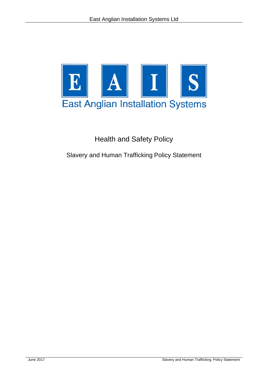

Health and Safety Policy

Slavery and Human Trafficking Policy Statement